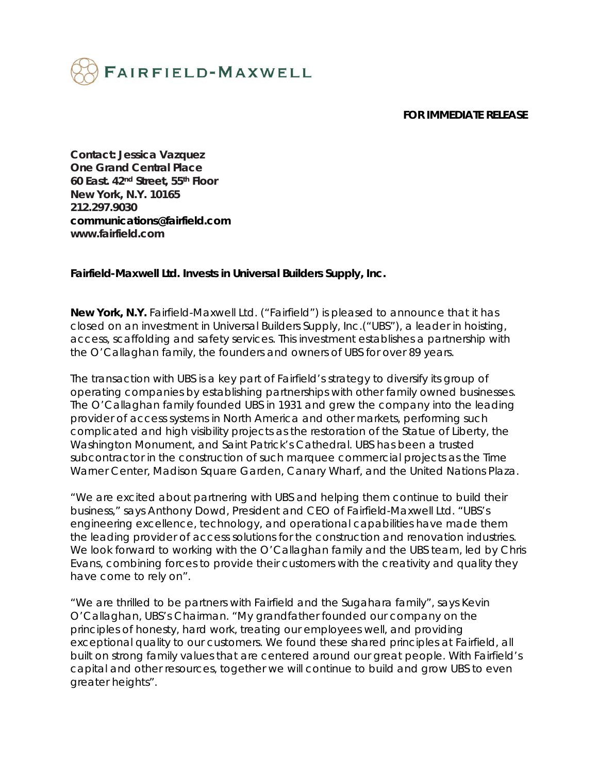

## **FOR IMMEDIATE RELEASE**

**Contact: Jessica Vazquez One Grand Central Place 60 East. 42nd Street, 55th Floor New York, N.Y. 10165 212.297.9030 communications@fairfield.com www.fairfield.com** 

## **Fairfield-Maxwell Ltd. Invests in Universal Builders Supply, Inc.**

**New York, N.Y.** Fairfield-Maxwell Ltd. ("Fairfield") is pleased to announce that it has closed on an investment in Universal Builders Supply, Inc.("UBS"), a leader in hoisting, access, scaffolding and safety services. This investment establishes a partnership with the O'Callaghan family, the founders and owners of UBS for over 89 years.

The transaction with UBS is a key part of Fairfield's strategy to diversify its group of operating companies by establishing partnerships with other family owned businesses. The O'Callaghan family founded UBS in 1931 and grew the company into the leading provider of access systems in North America and other markets, performing such complicated and high visibility projects as the restoration of the Statue of Liberty, the Washington Monument, and Saint Patrick's Cathedral. UBS has been a trusted subcontractor in the construction of such marquee commercial projects as the Time Warner Center, Madison Square Garden, Canary Wharf, and the United Nations Plaza.

"We are excited about partnering with UBS and helping them continue to build their business," says Anthony Dowd, President and CEO of Fairfield-Maxwell Ltd. "UBS's engineering excellence, technology, and operational capabilities have made them the leading provider of access solutions for the construction and renovation industries. We look forward to working with the O'Callaghan family and the UBS team, led by Chris Evans, combining forces to provide their customers with the creativity and quality they have come to rely on".

"We are thrilled to be partners with Fairfield and the Sugahara family", says Kevin O'Callaghan, UBS's Chairman. "My grandfather founded our company on the principles of honesty, hard work, treating our employees well, and providing exceptional quality to our customers. We found these shared principles at Fairfield, all built on strong family values that are centered around our great people. With Fairfield's capital and other resources, together we will continue to build and grow UBS to even greater heights".